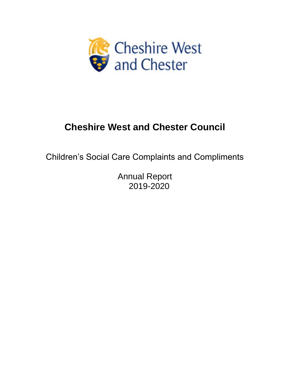

# **Cheshire West and Chester Council**

Children's Social Care Complaints and Compliments

Annual Report 2019-2020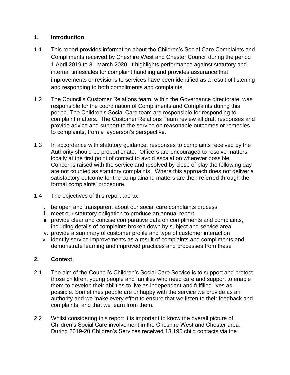# **1. Introduction**

- 1.1 This report provides information about the Children's Social Care Complaints and Compliments received by Cheshire West and Chester Council during the period 1 April 2019 to 31 March 2020. It highlights performance against statutory and internal timescales for complaint handling and provides assurance that improvements or revisions to services have been identified as a result of listening and responding to both compliments and complaints.
- 1.2 The Council's Customer Relations team, within the Governance directorate, was responsible for the coordination of Compliments and Complaints during this period. The Children's Social Care team are responsible for responding to complaint matters. The Customer Relations Team review all draft responses and provide advice and support to the service on reasonable outcomes or remedies to complaints, from a layperson's perspective.
- 1.3 In accordance with statutory guidance, responses to complaints received by the Authority should be proportionate. Officers are encouraged to resolve matters locally at the first point of contact to avoid escalation wherever possible. Concerns raised with the service and resolved by close of play the following day are not counted as statutory complaints. Where this approach does not deliver a satisfactory outcome for the complainant, matters are then referred through the formal complaints' procedure.
- 1.4 The objectives of this report are to:
	- i. be open and transparent about our social care complaints process
	- ii. meet our statutory obligation to produce an annual report
	- iii. provide clear and concise comparative data on compliments and complaints, including details of complaints broken down by subject and service area
	- iv. provide a summary of customer profile and type of customer interaction
	- v. identify service improvements as a result of complaints and compliments and demonstrate learning and improved practices and processes from these

# **2. Context**

- 2.1 The aim of the Council's Children's Social Care Service is to support and protect those children, young people and families who need care and support to enable them to develop their abilities to live as independent and fulfilled lives as possible. Sometimes people are unhappy with the service we provide as an authority and we make every effort to ensure that we listen to their feedback and complaints, and that we learn from them.
- 2.2 Whilst considering this report it is important to know the overall picture of Children's Social Care involvement in the Cheshire West and Chester area. During 2019-20 Children's Services received 13,195 child contacts via the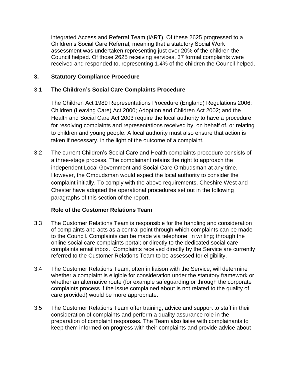integrated Access and Referral Team (iART). Of these 2625 progressed to a Children's Social Care Referral, meaning that a statutory Social Work assessment was undertaken representing just over 20% of the children the Council helped. Of those 2625 receiving services, 37 formal complaints were received and responded to, representing 1.4% of the children the Council helped.

# **3. Statutory Compliance Procedure**

# 3.1 **The Children's Social Care Complaints Procedure**

The Children Act 1989 Representations Procedure (England) Regulations 2006; Children (Leaving Care) Act 2000; Adoption and Children Act 2002; and the Health and Social Care Act 2003 require the local authority to have a procedure for resolving complaints and representations received by, on behalf of, or relating to children and young people. A local authority must also ensure that action is taken if necessary, in the light of the outcome of a complaint.

3.2 The current Children's Social Care and Health complaints procedure consists of a three-stage process. The complainant retains the right to approach the independent Local Government and Social Care Ombudsman at any time. However, the Ombudsman would expect the local authority to consider the complaint initially. To comply with the above requirements, Cheshire West and Chester have adopted the operational procedures set out in the following paragraphs of this section of the report.

# **Role of the Customer Relations Team**

- 3.3 The Customer Relations Team is responsible for the handling and consideration of complaints and acts as a central point through which complaints can be made to the Council. Complaints can be made via telephone; in writing; through the online social care complaints portal; or directly to the dedicated social care complaints email inbox. Complaints received directly by the Service are currently referred to the Customer Relations Team to be assessed for eligibility.
- 3.4 The Customer Relations Team, often in liaison with the Service, will determine whether a complaint is eligible for consideration under the statutory framework or whether an alternative route (for example safeguarding or through the corporate complaints process if the issue complained about is not related to the quality of care provided) would be more appropriate.
- 3.5 The Customer Relations Team offer training, advice and support to staff in their consideration of complaints and perform a quality assurance role in the preparation of complaint responses. The Team also liaise with complainants to keep them informed on progress with their complaints and provide advice about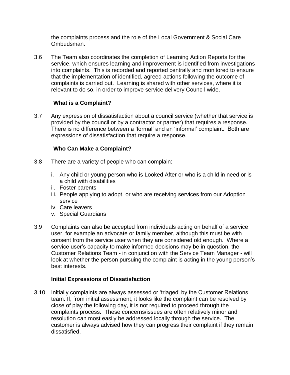the complaints process and the role of the Local Government & Social Care Ombudsman.

3.6 The Team also coordinates the completion of Learning Action Reports for the service, which ensures learning and improvement is identified from investigations into complaints. This is recorded and reported centrally and monitored to ensure that the implementation of identified, agreed actions following the outcome of complaints is carried out. Learning is shared with other services, where it is relevant to do so, in order to improve service delivery Council-wide.

# **What is a Complaint?**

3.7 Any expression of dissatisfaction about a council service (whether that service is provided by the council or by a contractor or partner) that requires a response. There is no difference between a 'formal' and an 'informal' complaint. Both are expressions of dissatisfaction that require a response.

# **Who Can Make a Complaint?**

- 3.8 There are a variety of people who can complain:
	- i. Any child or young person who is Looked After or who is a child in need or is a child with disabilities
	- ii. Foster parents
	- iii. People applying to adopt, or who are receiving services from our Adoption service
	- iv. Care leavers
	- v. Special Guardians
- 3.9 Complaints can also be accepted from individuals acting on behalf of a service user, for example an advocate or family member, although this must be with consent from the service user when they are considered old enough. Where a service user's capacity to make informed decisions may be in question, the Customer Relations Team - in conjunction with the Service Team Manager - will look at whether the person pursuing the complaint is acting in the young person's best interests.

# **Initial Expressions of Dissatisfaction**

3.10 Initially complaints are always assessed or 'triaged' by the Customer Relations team. If, from initial assessment, it looks like the complaint can be resolved by close of play the following day, it is not required to proceed through the complaints process. These concerns/issues are often relatively minor and resolution can most easily be addressed locally through the service. The customer is always advised how they can progress their complaint if they remain dissatisfied.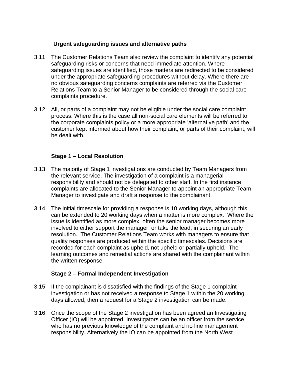## **Urgent safeguarding issues and alternative paths**

- 3.11 The Customer Relations Team also review the complaint to identify any potential safeguarding risks or concerns that need immediate attention. Where safeguarding issues are identified, those matters are redirected to be considered under the appropriate safeguarding procedures without delay. Where there are no obvious safeguarding concerns complaints are referred via the Customer Relations Team to a Senior Manager to be considered through the social care complaints procedure.
- 3.12 All, or parts of a complaint may not be eligible under the social care complaint process. Where this is the case all non-social care elements will be referred to the corporate complaints policy or a more appropriate 'alternative path' and the customer kept informed about how their complaint, or parts of their complaint, will be dealt with.

## **Stage 1 – Local Resolution**

- 3.13 The majority of Stage 1 investigations are conducted by Team Managers from the relevant service. The investigation of a complaint is a managerial responsibility and should not be delegated to other staff. In the first instance complaints are allocated to the Senior Manager to appoint an appropriate Team Manager to investigate and draft a response to the complainant.
- 3.14 The initial timescale for providing a response is 10 working days, although this can be extended to 20 working days when a matter is more complex. Where the issue is identified as more complex, often the senior manager becomes more involved to either support the manager, or take the lead, in securing an early resolution. The Customer Relations Team works with managers to ensure that quality responses are produced within the specific timescales. Decisions are recorded for each complaint as upheld, not upheld or partially upheld. The learning outcomes and remedial actions are shared with the complainant within the written response.

#### **Stage 2 – Formal Independent Investigation**

- 3.15 If the complainant is dissatisfied with the findings of the Stage 1 complaint investigation or has not received a response to Stage 1 within the 20 working days allowed, then a request for a Stage 2 investigation can be made.
- 3.16 Once the scope of the Stage 2 investigation has been agreed an Investigating Officer (IO) will be appointed. Investigators can be an officer from the service who has no previous knowledge of the complaint and no line management responsibility. Alternatively the IO can be appointed from the North West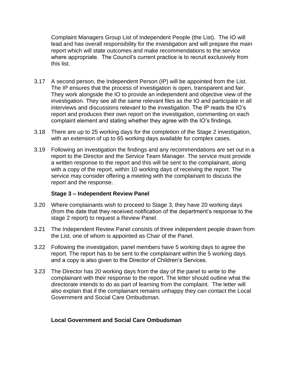Complaint Managers Group List of Independent People (the List). The IO will lead and has overall responsibility for the investigation and will prepare the main report which will state outcomes and make recommendations to the service where appropriate. The Council's current practice is to recruit exclusively from this list.

- 3.17 A second person, the Independent Person (IP) will be appointed from the List. The IP ensures that the process of investigation is open, transparent and fair. They work alongside the IO to provide an independent and objective view of the investigation. They see all the same relevant files as the IO and participate in all interviews and discussions relevant to the investigation. The IP reads the IO's report and produces their own report on the investigation, commenting on each complaint element and stating whether they agree with the IO's findings.
- 3.18 There are up to 25 working days for the completion of the Stage 2 investigation, with an extension of up to 65 working days available for complex cases.
- 3.19 Following an investigation the findings and any recommendations are set out in a report to the Director and the Service Team Manager. The service must provide a written response to the report and this will be sent to the complainant, along with a copy of the report, within 10 working days of receiving the report. The service may consider offering a meeting with the complainant to discuss the report and the response.

#### **Stage 3 – Independent Review Panel**

- 3.20 Where complainants wish to proceed to Stage 3, they have 20 working days (from the date that they received notification of the department's response to the stage 2 report) to request a Review Panel.
- 3.21 The Independent Review Panel consists of three independent people drawn from the List, one of whom is appointed as Chair of the Panel.
- 3.22 Following the investigation, panel members have 5 working days to agree the report. The report has to be sent to the complainant within the 5 working days and a copy is also given to the Director of Children's Services.
- 3.23 The Director has 20 working days from the day of the panel to write to the complainant with their response to the report. The letter should outline what the directorate intends to do as part of learning from the complaint. The letter will also explain that if the complainant remains unhappy they can contact the Local Government and Social Care Ombudsman.

# **Local Government and Social Care Ombudsman**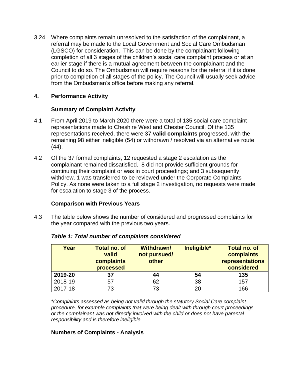3.24 Where complaints remain unresolved to the satisfaction of the complainant, a referral may be made to the Local Government and Social Care Ombudsman (LGSCO) for consideration. This can be done by the complainant following completion of all 3 stages of the children's social care complaint process or at an earlier stage if there is a mutual agreement between the complainant and the Council to do so. The Ombudsman will require reasons for the referral if it is done prior to completion of all stages of the policy. The Council will usually seek advice from the Ombudsman's office before making any referral.

## **4. Performance Activity**

#### **Summary of Complaint Activity**

- 4.1 From April 2019 to March 2020 there were a total of 135 social care complaint representations made to Cheshire West and Chester Council. Of the 135 representations received, there were 37 **valid complaints** progressed, with the remaining 98 either ineligible (54) or withdrawn / resolved via an alternative route (44).
- 4.2 Of the 37 formal complaints, 12 requested a stage 2 escalation as the complainant remained dissatisfied. 8 did not provide sufficient grounds for continuing their complaint or was in court proceedings; and 3 subsequently withdrew. 1 was transferred to be reviewed under the Corporate Complaints Policy. As none were taken to a full stage 2 investigation, no requests were made for escalation to stage 3 of the process.

#### **Comparison with Previous Years**

4.3 The table below shows the number of considered and progressed complaints for the year compared with the previous two years.

| Year    | <b>Total no. of</b><br>valid<br>complaints<br>processed | <b>Withdrawn/</b><br>not pursued/<br>other | Ineligible* | <b>Total no. of</b><br>complaints<br>representations<br>considered |
|---------|---------------------------------------------------------|--------------------------------------------|-------------|--------------------------------------------------------------------|
| 2019-20 | 37                                                      | 44                                         | 54          | 135                                                                |
| 2018-19 | 57                                                      | 62                                         | 38          | 157                                                                |
| 2017-18 | 73                                                      | 73                                         | 20          | 166                                                                |

#### *Table 1: Total number of complaints considered*

*\*Complaints assessed as being not valid through the statutory Social Care complaint procedure, for example complaints that were being dealt with through court proceedings or the complainant was not directly involved with the child or does not have parental responsibility and is therefore ineligible.*

#### **Numbers of Complaints - Analysis**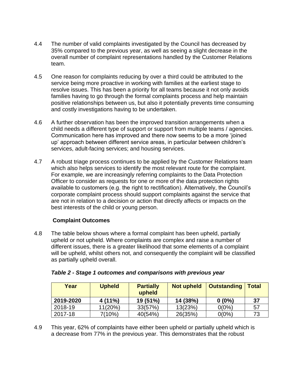- 4.4 The number of valid complaints investigated by the Council has decreased by 35% compared to the previous year, as well as seeing a slight decrease in the overall number of complaint representations handled by the Customer Relations team.
- 4.5 One reason for complaints reducing by over a third could be attributed to the service being more proactive in working with families at the earliest stage to resolve issues. This has been a priority for all teams because it not only avoids families having to go through the formal complaints process and help maintain positive relationships between us, but also it potentially prevents time consuming and costly investigations having to be undertaken.
- 4.6 A further observation has been the improved transition arrangements when a child needs a different type of support or support from multiple teams / agencies. Communication here has improved and there now seems to be a more 'joined up' approach between different service areas, in particular between children's services, adult-facing services; and housing services.
- 4.7 A robust triage process continues to be applied by the Customer Relations team which also helps services to identify the most relevant route for the complaint. For example, we are increasingly referring complaints to the Data Protection Officer to consider as requests for one or more of the data protection rights available to customers (e.g. the right to rectification). Alternatively, the Council's corporate complaint process should support complaints against the service that are not in relation to a decision or action that directly affects or impacts on the best interests of the child or young person.

# **Complaint Outcomes**

4.8 The table below shows where a formal complaint has been upheld, partially upheld or not upheld. Where complaints are complex and raise a number of different issues, there is a greater likelihood that some elements of a complaint will be upheld, whilst others not, and consequently the complaint will be classified as partially upheld overall.

| Year      | <b>Upheld</b> | <b>Partially</b><br>upheld | <b>Not upheld</b> | <b>Outstanding</b> | <b>Total</b> |
|-----------|---------------|----------------------------|-------------------|--------------------|--------------|
| 2019-2020 | $4(11\%)$     | 19 (51%)                   | 14 (38%)          | $0(0\%)$           | - 37         |
| 2018-19   | 11(20%)       | 33(57%)                    | 13(23%)           | $0(0\%)$           | 57           |
| 2017-18   | 7(10%)        | 40(54%)                    | 26(35%)           | $0(0\%)$           | 73           |

4.9 This year, 62% of complaints have either been upheld or partially upheld which is a decrease from 77% in the previous year. This demonstrates that the robust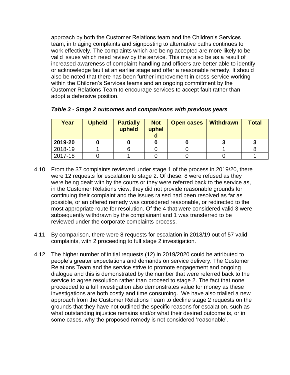approach by both the Customer Relations team and the Children's Services team, in triaging complaints and signposting to alternative paths continues to work effectively. The complaints which are being accepted are more likely to be valid issues which need review by the service. This may also be as a result of increased awareness of complaint handling and officers are better able to identify or acknowledge fault at an earlier stage and offer a reasonable remedy. It should also be noted that there has been further improvement in cross-service working within the Children's Services teams and an ongoing commitment by the Customer Relations Team to encourage services to accept fault rather than adopt a defensive position.

| Year    | <b>Upheld</b> | <b>Partially</b><br>upheld | <b>Not</b><br>uphel | <b>Open cases</b> | <b>Withdrawn</b> | <b>Total</b> |
|---------|---------------|----------------------------|---------------------|-------------------|------------------|--------------|
| 2019-20 |               |                            |                     |                   |                  |              |
| 2018-19 |               |                            |                     |                   |                  |              |
| 2017-18 |               |                            |                     |                   |                  |              |

*Table 3 - Stage 2 outcomes and comparisons with previous years*

- 4.10 From the 37 complaints reviewed under stage 1 of the process in 2019/20, there were 12 requests for escalation to stage 2. Of these, 8 were refused as they were being dealt with by the courts or they were referred back to the service as, in the Customer Relations view, they did not provide reasonable grounds for continuing their complaint and the issues raised had been resolved as far as possible, or an offered remedy was considered reasonable, or redirected to the most appropriate route for resolution. Of the 4 that were considered valid 3 were subsequently withdrawn by the complainant and 1 was transferred to be reviewed under the corporate complaints process.
- 4.11 By comparison, there were 8 requests for escalation in 2018/19 out of 57 valid complaints, with 2 proceeding to full stage 2 investigation.
- 4.12 The higher number of initial requests (12) in 2019/2020 could be attributed to people's greater expectations and demands on service delivery. The Customer Relations Team and the service strive to promote engagement and ongoing dialogue and this is demonstrated by the number that were referred back to the service to agree resolution rather than proceed to stage 2. The fact that none proceeded to a full investigation also demonstrates value for money as these investigations are both costly and time consuming. We have also trialled a new approach from the Customer Relations Team to decline stage 2 requests on the grounds that they have not outlined the specific reasons for escalation, such as what outstanding injustice remains and/or what their desired outcome is, or in some cases, why the proposed remedy is not considered 'reasonable'.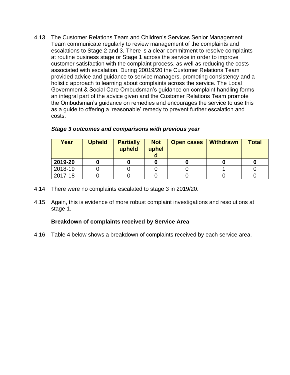4.13 The Customer Relations Team and Children's Services Senior Management Team communicate regularly to review management of the complaints and escalations to Stage 2 and 3. There is a clear commitment to resolve complaints at routine business stage or Stage 1 across the service in order to improve customer satisfaction with the complaint process, as well as reducing the costs associated with escalation. During 20019/20 the Customer Relations Team provided advice and guidance to service managers, promoting consistency and a holistic approach to learning about complaints across the service. The Local Government & Social Care Ombudsman's guidance on complaint handling forms an integral part of the advice given and the Customer Relations Team promote the Ombudsman's guidance on remedies and encourages the service to use this as a guide to offering a 'reasonable' remedy to prevent further escalation and costs.

| Year    | <b>Upheld</b> | <b>Partially</b><br>upheld | <b>Not</b><br>uphel | <b>Open cases</b> | <b>Withdrawn</b> | <b>Total</b> |
|---------|---------------|----------------------------|---------------------|-------------------|------------------|--------------|
| 2019-20 |               |                            |                     |                   |                  |              |
| 2018-19 |               |                            |                     |                   |                  |              |
| 2017-18 |               |                            |                     |                   |                  |              |

#### *Stage 3 outcomes and comparisons with previous year*

- 4.14 There were no complaints escalated to stage 3 in 2019/20.
- 4.15 Again, this is evidence of more robust complaint investigations and resolutions at stage 1.

#### **Breakdown of complaints received by Service Area**

4.16 Table 4 below shows a breakdown of complaints received by each service area.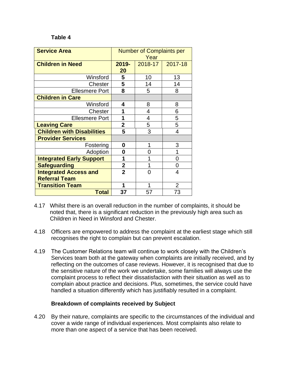#### **Table 4**

| <b>Service Area</b>               | <b>Number of Complaints per</b><br>Year |         |                |
|-----------------------------------|-----------------------------------------|---------|----------------|
| <b>Children in Need</b>           | 2019-<br>20                             | 2018-17 | 2017-18        |
| Winsford                          | 5                                       | 10      | 13             |
| Chester                           | 5                                       | 14      | 14             |
| <b>Ellesmere Port</b>             | 8                                       | 5       | 8              |
| <b>Children in Care</b>           |                                         |         |                |
| Winsford                          | 4                                       | 8       | 8              |
| Chester                           | 1                                       | 4       | 6              |
| <b>Ellesmere Port</b>             | 1                                       | 4       | 5              |
| <b>Leaving Care</b>               | 2                                       | 5       | 5              |
| <b>Children with Disabilities</b> | 5                                       | 3       | 4              |
| <b>Provider Services</b>          |                                         |         |                |
| Fostering                         | 0                                       | 1       | 3              |
| Adoption                          | 0                                       | 0       | 1              |
| <b>Integrated Early Support</b>   | 1                                       | 1       | 0              |
| <b>Safeguarding</b>               | $\overline{2}$                          | 1       | 0              |
| <b>Integrated Access and</b>      | $\overline{2}$                          | 0       | 4              |
| <b>Referral Team</b>              |                                         |         |                |
| <b>Transition Team</b>            | 1                                       |         | $\overline{2}$ |
| <b>Total</b>                      | 37                                      | 57      | 73             |

- 4.17 Whilst there is an overall reduction in the number of complaints, it should be noted that, there is a significant reduction in the previously high area such as Children in Need in Winsford and Chester.
- 4.18 Officers are empowered to address the complaint at the earliest stage which still recognises the right to complain but can prevent escalation.
- 4.19 The Customer Relations team will continue to work closely with the Children's Services team both at the gateway when complaints are initially received, and by reflecting on the outcomes of case reviews. However, it is recognised that due to the sensitive nature of the work we undertake, some families will always use the complaint process to reflect their dissatisfaction with their situation as well as to complain about practice and decisions. Plus, sometimes, the service could have handled a situation differently which has justifiably resulted in a complaint.

#### **Breakdown of complaints received by Subject**

4.20 By their nature, complaints are specific to the circumstances of the individual and cover a wide range of individual experiences. Most complaints also relate to more than one aspect of a service that has been received.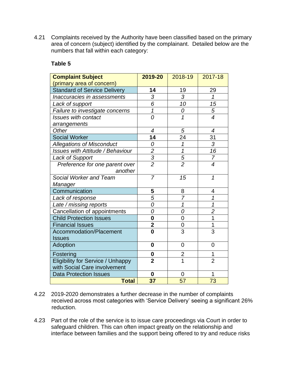4.21 Complaints received by the Authority have been classified based on the primary area of concern (subject) identified by the complainant. Detailed below are the numbers that fall within each category:

#### **Table 5**

| <b>Complaint Subject</b>                 | 2019-20                 | 2018-19        | 2017-18                  |
|------------------------------------------|-------------------------|----------------|--------------------------|
| (primary area of concern)                |                         |                |                          |
| <b>Standard of Service Delivery</b>      | 14                      | 19             | 29                       |
| Inaccuracies in assessments              | 3                       | 3              | $\mathcal I$             |
| Lack of support                          | 6                       | 10             | 15                       |
| Failure to investigate concerns          | $\overline{1}$          | 0              | 5                        |
| <b>Issues with contact</b>               | 0                       | 1              | $\overline{\mathcal{A}}$ |
| arrangements                             |                         |                |                          |
| Other                                    | $\overline{4}$          | 5              | $\overline{4}$           |
| <b>Social Worker</b>                     | 14                      | 24             | 31                       |
| <b>Allegations of Misconduct</b>         | 0                       | 1              | 3                        |
| <b>Issues with Attitude / Behaviour</b>  | $\overline{c}$          | $\overline{1}$ | 16                       |
| <b>Lack of Support</b>                   | $\frac{3}{2}$           | $\frac{5}{2}$  | 7                        |
| Preference for one parent over           |                         |                | $\overline{\mathcal{A}}$ |
| another                                  |                         |                |                          |
| Social Worker and Team                   | $\overline{7}$          | 15             | $\mathcal I$             |
| Manager                                  |                         |                |                          |
| Communication                            | 5                       | 8              | 4                        |
| Lack of response                         | $\overline{5}$          | $\overline{7}$ | $\overline{\mathcal{I}}$ |
| Late / missing reports                   | 0                       | $\overline{1}$ | 1                        |
| Cancellation of appointments             | 0                       | 0              | $\overline{2}$           |
| <b>Child Protection Issues</b>           | $\bf{0}$                | 0              | 1                        |
| <b>Financial Issues</b>                  | $\overline{\mathbf{2}}$ | 0              | $\overline{1}$           |
| <b>Accommodation/Placement</b>           | $\mathbf 0$             | 3              | 3                        |
| <b>Issues</b>                            |                         |                |                          |
| Adoption                                 | $\bf{0}$                | $\overline{0}$ | $\overline{0}$           |
| Fostering                                | 0                       | $\overline{2}$ | 1                        |
| <b>Eligibility for Service / Unhappy</b> | $\overline{2}$          | 1              | $\overline{2}$           |
| with Social Care involvement             |                         |                |                          |
| <b>Data Protection Issues</b>            | $\bf{0}$                | 0              | 1                        |
| <b>Total</b>                             | 37                      | 57             | 73                       |

- 4.22 2019-2020 demonstrates a further decrease in the number of complaints received across most categories with 'Service Delivery' seeing a significant 26% reduction.
- 4.23 Part of the role of the service is to issue care proceedings via Court in order to safeguard children. This can often impact greatly on the relationship and interface between families and the support being offered to try and reduce risks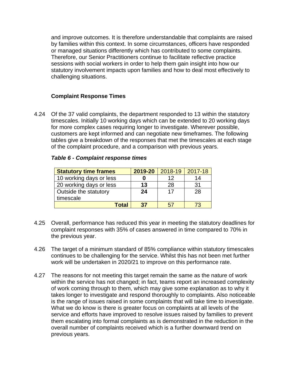and improve outcomes. It is therefore understandable that complaints are raised by families within this context. In some circumstances, officers have responded or managed situations differently which has contributed to some complaints. Therefore, our Senior Practitioners continue to facilitate reflective practice sessions with social workers in order to help them gain insight into how our statutory involvement impacts upon families and how to deal most effectively to challenging situations.

# **Complaint Response Times**

4.24 Of the 37 valid complaints, the department responded to 13 within the statutory timescales. Initially 10 working days which can be extended to 20 working days for more complex cases requiring longer to investigate. Wherever possible, customers are kept informed and can negotiate new timeframes. The following tables give a breakdown of the responses that met the timescales at each stage of the complaint procedure, and a comparison with previous years.

| <b>Statutory time frames</b> | 2019-20 | 2018-19 | 2017-18 |
|------------------------------|---------|---------|---------|
| 10 working days or less      |         | 12      | 14      |
| 20 working days or less      | 13      | 28      | 31      |
| Outside the statutory        | 24      | 17      | 28      |
| timescale                    |         |         |         |
| Total                        | 37      | 57      | 73      |

#### *Table 6 - Complaint response times*

- 4.25 Overall, performance has reduced this year in meeting the statutory deadlines for complaint responses with 35% of cases answered in time compared to 70% in the previous year.
- 4.26 The target of a minimum standard of 85% compliance within statutory timescales continues to be challenging for the service. Whilst this has not been met further work will be undertaken in 2020/21 to improve on this performance rate.
- 4.27 The reasons for not meeting this target remain the same as the nature of work within the service has not changed; in fact, teams report an increased complexity of work coming through to them, which may give some explanation as to why it takes longer to investigate and respond thoroughly to complaints. Also noticeable is the range of issues raised in some complaints that will take time to investigate. What we do know is there is greater focus on complaints at all levels of the service and efforts have improved to resolve issues raised by families to prevent them escalating into formal complaints as is demonstrated in the reduction in the overall number of complaints received which is a further downward trend on previous years.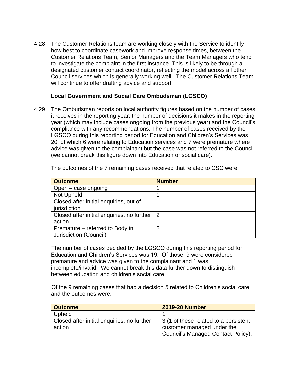4.28 The Customer Relations team are working closely with the Service to identify how best to coordinate casework and improve response times, between the Customer Relations Team, Senior Managers and the Team Managers who tend to investigate the complaint in the first instance. This is likely to be through a designated customer contact coordinator, reflecting the model across all other Council services which is generally working well. The Customer Relations Team will continue to offer drafting advice and support.

#### **Local Government and Social Care Ombudsman (LGSCO)**

4.29 The Ombudsman reports on local authority figures based on the number of cases it receives in the reporting year; the number of decisions it makes in the reporting year (which may include cases ongoing from the previous year) and the Council's compliance with any recommendations. The number of cases received by the LGSCO during this reporting period for Education and Children's Services was 20, of which 6 were relating to Education services and 7 were premature where advice was given to the complainant but the case was not referred to the Council (we cannot break this figure down into Education or social care).

| <b>Outcome</b>                             | <b>Number</b> |
|--------------------------------------------|---------------|
| Open – case ongoing                        |               |
| Not Upheld                                 |               |
| Closed after initial enquiries, out of     |               |
| jurisdiction                               |               |
| Closed after initial enquiries, no further | 2             |
| action                                     |               |
| Premature – referred to Body in            | 2             |
| Jurisdiction (Council)                     |               |

The outcomes of the 7 remaining cases received that related to CSC were:

 The number of cases decided by the LGSCO during this reporting period for Education and Children's Services was 19. Of those, 9 were considered premature and advice was given to the complainant and 1 was incomplete/invalid. We cannot break this data further down to distinguish between education and children's social care.

 Of the 9 remaining cases that had a decision 5 related to Children's social care and the outcomes were:

| <b>Outcome</b>                             | <b>2019-20 Number</b>                 |
|--------------------------------------------|---------------------------------------|
| Upheld                                     |                                       |
| Closed after initial enquiries, no further | 3 (1 of these related to a persistent |
| action                                     | customer managed under the            |
|                                            | Council's Managed Contact Policy).    |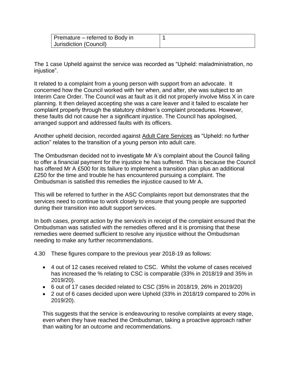| $\vert$ Premature – referred to Body in |  |
|-----------------------------------------|--|
| Jurisdiction (Council)                  |  |

The 1 case Upheld against the service was recorded as "Upheld: maladministration, no injustice".

It related to a complaint from a young person with support from an advocate. It concerned how the Council worked with her when, and after, she was subject to an Interim Care Order. The Council was at fault as it did not properly involve Miss X in care planning. It then delayed accepting she was a care leaver and it failed to escalate her complaint properly through the statutory children's complaint procedures. However, these faults did not cause her a significant injustice. The Council has apologised, arranged support and addressed faults with its officers.

Another upheld decision, recorded against Adult Care Services as "Upheld: no further action" relates to the transition of a young person into adult care.

The Ombudsman decided not to investigate Mr A's complaint about the Council failing to offer a financial payment for the injustice he has suffered. This is because the Council has offered Mr A £500 for its failure to implement a transition plan plus an additional £250 for the time and trouble he has encountered pursuing a complaint. The Ombudsman is satisfied this remedies the injustice caused to Mr A.

This will be referred to further in the ASC Complaints report but demonstrates that the services need to continue to work closely to ensure that young people are supported during their transition into adult support services.

In both cases, prompt action by the service/s in receipt of the complaint ensured that the Ombudsman was satisfied with the remedies offered and it is promising that these remedies were deemed sufficient to resolve any injustice without the Ombudsman needing to make any further recommendations.

4.30 These figures compare to the previous year 2018-19 as follows:

- 4 out of 12 cases received related to CSC. Whilst the volume of cases received has increased the % relating to CSC is comparable (33% in 2018/19 and 35% in 2019/20).
- 6 out of 17 cases decided related to CSC (35% in 2018/19, 26% in 2019/20)
- 2 out of 6 cases decided upon were Upheld (33% in 2018/19 compared to 20% in 2019/20).

This suggests that the service is endeavouring to resolve complaints at every stage, even when they have reached the Ombudsman, taking a proactive approach rather than waiting for an outcome and recommendations.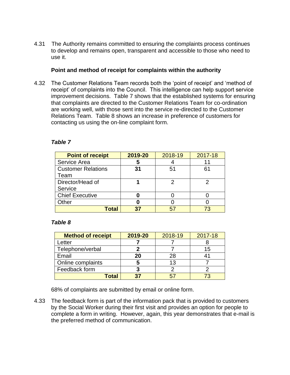4.31 The Authority remains committed to ensuring the complaints process continues to develop and remains open, transparent and accessible to those who need to use it.

#### **Point and method of receipt for complaints within the authority**

4.32 The Customer Relations Team records both the 'point of receipt' and 'method of receipt' of complaints into the Council. This intelligence can help support service improvement decisions. Table 7 shows that the established systems for ensuring that complaints are directed to the Customer Relations Team for co-ordination are working well, with those sent into the service re-directed to the Customer Relations Team. Table 8 shows an increase in preference of customers for contacting us using the on-line complaint form.

| <b>Point of receipt</b>   | 2019-20 | 2018-19 | 2017-18 |
|---------------------------|---------|---------|---------|
| Service Area              | 5       |         |         |
| <b>Customer Relations</b> | 31      | 51      | 61      |
| Team                      |         |         |         |
| Director/Head of          |         |         |         |
| Service                   |         |         |         |
| <b>Chief Executive</b>    |         |         |         |
| Other                     |         |         |         |
| <b>Cotal</b>              | 37      | 57      |         |

#### *Table 7*

#### *Table 8*

| <b>Method of receipt</b> | 2019-20 | 2018-19 | 2017-18 |
|--------------------------|---------|---------|---------|
| Letter                   |         |         |         |
| Telephone/verbal         |         |         | 15      |
| Email                    | 20      | 28      |         |
| Online complaints        |         | 13      |         |
| Feedback form            |         |         |         |
| <b>Total</b>             | 27      |         |         |

68% of complaints are submitted by email or online form.

4.33 The feedback form is part of the information pack that is provided to customers by the Social Worker during their first visit and provides an option for people to complete a form in writing. However, again, this year demonstrates that e-mail is the preferred method of communication.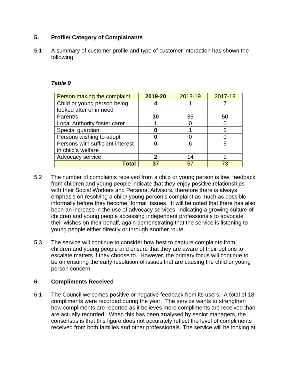# **5. Profile/ Category of Complainants**

5.1 A summary of customer profile and type of customer interaction has shown the following:

#### *Table 9*

| Person making the complaint      | 2019-20 | 2018-19 | 2017-18 |
|----------------------------------|---------|---------|---------|
| Child or young person being      |         |         |         |
| looked after or in need          |         |         |         |
| Parent/s                         | 30      | 35      | 50      |
| Local Authority foster carer     |         |         |         |
| Special guardian                 |         |         | 2       |
| Persons wishing to adopt         |         |         |         |
| Persons with sufficient interest |         | 6       | 5       |
| in child's welfare               |         |         |         |
| Advocacy service                 | 2       | 14      | 9       |
| Total                            | 37      | 57      | 73      |

- 5.2 The number of complaints received from a child or young person is low; feedback from children and young people indicate that they enjoy positive relationships with their Social Workers and Personal Advisors, therefore there is always emphasis on resolving a child/ young person's complaint as much as possible informally before they become "formal" issues. It will be noted that there has also been an increase in the use of advocacy services, indicating a growing culture of children and young people accessing independent professionals to advocate their wishes on their behalf, again demonstrating that the service is listening to young people either directly or through another route.
- 5.3 The service will continue to consider how best to capture complaints from children and young people and ensure that they are aware of their options to escalate matters if they choose to. However, the primary focus will continue to be on ensuring the early resolution of issues that are causing the child or young person concern.

#### **6. Compliments Received**

6.1 The Council welcomes positive or negative feedback from its users. A total of 18 compliments were recorded during the year. The service wants to strengthen how compliments are reported as it believes more compliments are received than are actually recorded. When this has been analysed by senior managers, the consensus is that this figure does not accurately reflect the level of compliments received from both families and other professionals. The service will be looking at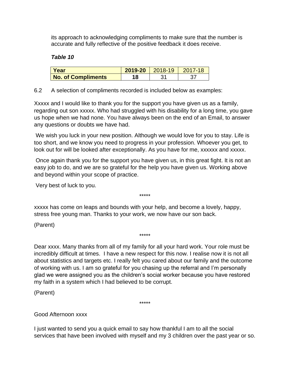its approach to acknowledging compliments to make sure that the number is accurate and fully reflective of the positive feedback it does receive.

## *Table 10*

| Year                      | 2019-20 | 2018-19 |  |
|---------------------------|---------|---------|--|
| <b>No. of Compliments</b> | ם ו     |         |  |

6.2 A selection of compliments recorded is included below as examples:

Xxxxx and I would like to thank you for the support you have given us as a family, regarding out son xxxxx. Who had struggled with his disability for a long time, you gave us hope when we had none. You have always been on the end of an Email, to answer any questions or doubts we have had.

We wish you luck in your new position. Although we would love for you to stay. Life is too short, and we know you need to progress in your profession. Whoever you get, to look out for will be looked after exceptionally. As you have for me, xxxxxx and xxxxx.

Once again thank you for the support you have given us, in this great fight. It is not an easy job to do, and we are so grateful for the help you have given us. Working above and beyond within your scope of practice.

\*\*\*\*\*

Very best of luck to you.

xxxxx has come on leaps and bounds with your help, and become a lovely, happy, stress free young man. Thanks to your work, we now have our son back.

(Parent)

Dear xxxx. Many thanks from all of my family for all your hard work. Your role must be incredibly difficult at times. I have a new respect for this now. I realise now it is not all about statistics and targets etc. I really felt you cared about our family and the outcome of working with us. I am so grateful for you chasing up the referral and I'm personally glad we were assigned you as the children's social worker because you have restored my faith in a system which I had believed to be corrupt.

\*\*\*\*\*

(Parent)

\*\*\*\*\*

Good Afternoon xxxx

I just wanted to send you a quick email to say how thankful I am to all the social services that have been involved with myself and my 3 children over the past year or so.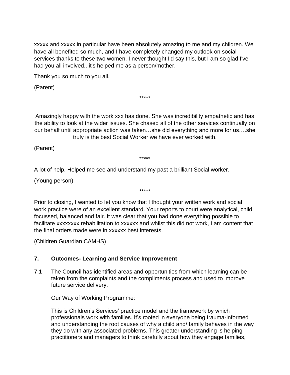xxxxx and xxxxx in particular have been absolutely amazing to me and my children. We have all benefited so much, and I have completely changed my outlook on social services thanks to these two women. I never thought I'd say this, but I am so glad I've had you all involved.. it's helped me as a person/mother.

Thank you so much to you all.

(Parent)

Amazingly happy with the work xxx has done. She was incredibility empathetic and has the ability to look at the wider issues. She chased all of the other services continually on our behalf until appropriate action was taken…she did everything and more for us….she truly is the best Social Worker we have ever worked with.

\*\*\*\*\*

(Parent)

\*\*\*\*\*

A lot of help. Helped me see and understand my past a brilliant Social worker.

(Young person)

Prior to closing, I wanted to let you know that I thought your written work and social work practice were of an excellent standard. Your reports to court were analytical, child focussed, balanced and fair. It was clear that you had done everything possible to facilitate xxxxxxxx rehabilitation to xxxxxx and whilst this did not work, I am content that the final orders made were in xxxxxx best interests.

\*\*\*\*\*

(Children Guardian CAMHS)

# **7. Outcomes- Learning and Service Improvement**

7.1 The Council has identified areas and opportunities from which learning can be taken from the complaints and the compliments process and used to improve future service delivery.

Our Way of Working Programme:

This is Children's Services' practice model and the framework by which professionals work with families. It's rooted in everyone being trauma-informed and understanding the root causes of why a child and/ family behaves in the way they do with any associated problems. This greater understanding is helping practitioners and managers to think carefully about how they engage families,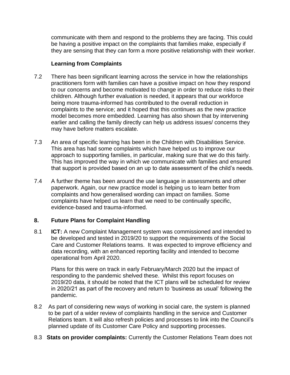communicate with them and respond to the problems they are facing. This could be having a positive impact on the complaints that families make, especially if they are sensing that they can form a more positive relationship with their worker.

## **Learning from Complaints**

- 7.2 There has been significant learning across the service in how the relationships practitioners form with families can have a positive impact on how they respond to our concerns and become motivated to change in order to reduce risks to their children. Although further evaluation is needed, it appears that our workforce being more trauma-informed has contributed to the overall reduction in complaints to the service; and it hoped that this continues as the new practice model becomes more embedded. Learning has also shown that by intervening earlier and calling the family directly can help us address issues/ concerns they may have before matters escalate.
- 7.3 An area of specific learning has been in the Children with Disabilities Service. This area has had some complaints which have helped us to improve our approach to supporting families, in particular, making sure that we do this fairly. This has improved the way in which we communicate with families and ensured that support is provided based on an up to date assessment of the child's needs.
- 7.4 A further theme has been around the use language in assessments and other paperwork. Again, our new practice model is helping us to learn better from complaints and how generalised wording can impact on families. Some complaints have helped us learn that we need to be continually specific, evidence-based and trauma-informed.

# **8. Future Plans for Complaint Handling**

8.1 **ICT:** A new Complaint Management system was commissioned and intended to be developed and tested in 2019/20 to support the requirements of the Social Care and Customer Relations teams. It was expected to improve efficiency and data recording, with an enhanced reporting facility and intended to become operational from April 2020.

Plans for this were on track in early February/March 2020 but the impact of responding to the pandemic shelved these. Whilst this report focuses on 2019/20 data, it should be noted that the ICT plans will be scheduled for review in 2020/21 as part of the recovery and return to 'business as usual' following the pandemic.

- 8.2 As part of considering new ways of working in social care, the system is planned to be part of a wider review of complaints handling in the service and Customer Relations team. It will also refresh policies and processes to link into the Council's planned update of its Customer Care Policy and supporting processes.
- 8.3 **Stats on provider complaints:** Currently the Customer Relations Team does not